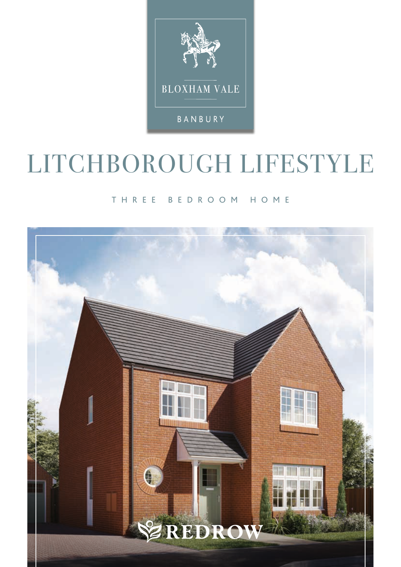

## LITCHBOROUGH LIFESTYLE

### THREE BEDROOM HOME